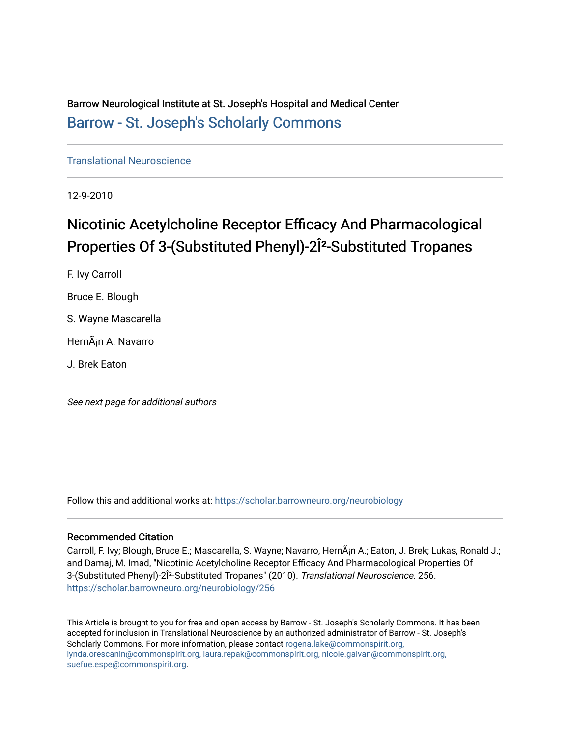Barrow Neurological Institute at St. Joseph's Hospital and Medical Center [Barrow - St. Joseph's Scholarly Commons](https://scholar.barrowneuro.org/) 

[Translational Neuroscience](https://scholar.barrowneuro.org/neurobiology)

12-9-2010

# Nicotinic Acetylcholine Receptor Efficacy And Pharmacological Properties Of 3-(Substituted Phenyl)-2β-Substituted Tropanes

F. Ivy Carroll Bruce E. Blough S. Wayne Mascarella

HernÂ<sub>i</sub>n A. Navarro

J. Brek Eaton

See next page for additional authors

Follow this and additional works at: [https://scholar.barrowneuro.org/neurobiology](https://scholar.barrowneuro.org/neurobiology?utm_source=scholar.barrowneuro.org%2Fneurobiology%2F256&utm_medium=PDF&utm_campaign=PDFCoverPages)

# Recommended Citation

Carroll, F. Ivy; Blough, Bruce E.; Mascarella, S. Wayne; Navarro, HernÂ<sub>i</sub>n A.; Eaton, J. Brek; Lukas, Ronald J.; and Damaj, M. Imad, "Nicotinic Acetylcholine Receptor Efficacy And Pharmacological Properties Of 3-(Substituted Phenyl)-2β-Substituted Tropanes" (2010). Translational Neuroscience. 256. [https://scholar.barrowneuro.org/neurobiology/256](https://scholar.barrowneuro.org/neurobiology/256?utm_source=scholar.barrowneuro.org%2Fneurobiology%2F256&utm_medium=PDF&utm_campaign=PDFCoverPages)

This Article is brought to you for free and open access by Barrow - St. Joseph's Scholarly Commons. It has been accepted for inclusion in Translational Neuroscience by an authorized administrator of Barrow - St. Joseph's Scholarly Commons. For more information, please contact [rogena.lake@commonspirit.org,](mailto:rogena.lake@commonspirit.org,%20lynda.orescanin@commonspirit.org,%20laura.repak@commonspirit.org,%20nicole.galvan@commonspirit.org,%20suefue.espe@commonspirit.org) [lynda.orescanin@commonspirit.org, laura.repak@commonspirit.org, nicole.galvan@commonspirit.org,](mailto:rogena.lake@commonspirit.org,%20lynda.orescanin@commonspirit.org,%20laura.repak@commonspirit.org,%20nicole.galvan@commonspirit.org,%20suefue.espe@commonspirit.org)  [suefue.espe@commonspirit.org](mailto:rogena.lake@commonspirit.org,%20lynda.orescanin@commonspirit.org,%20laura.repak@commonspirit.org,%20nicole.galvan@commonspirit.org,%20suefue.espe@commonspirit.org).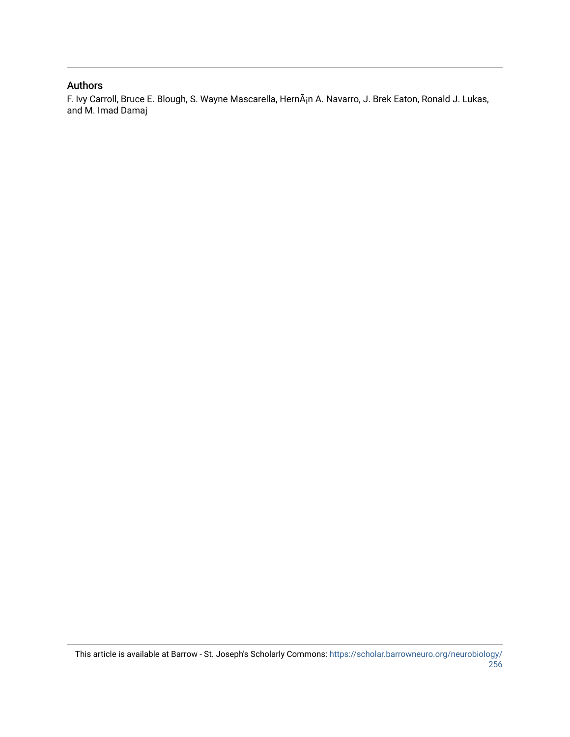# Authors

F. Ivy Carroll, Bruce E. Blough, S. Wayne Mascarella, HernÂ<sub>i</sub>n A. Navarro, J. Brek Eaton, Ronald J. Lukas, and M. Imad Damaj

This article is available at Barrow - St. Joseph's Scholarly Commons: [https://scholar.barrowneuro.org/neurobiology/](https://scholar.barrowneuro.org/neurobiology/256) [256](https://scholar.barrowneuro.org/neurobiology/256)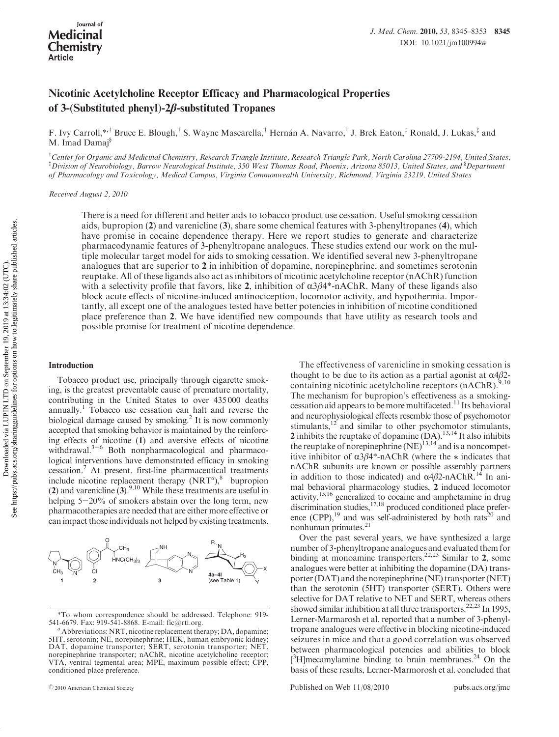# Nicotinic Acetylcholine Receptor Efficacy and Pharmacological Properties of 3-(Substituted phenyl)-2β-substituted Tropanes

F. Ivy Carroll,\*,† Bruce E. Blough,† S. Wayne Mascarella,† Hernan A. Navarro,† J. Brek Eaton,‡ Ronald, J. Lukas,‡ and M. Imad Damaj<sup>§</sup>

<sup>†</sup>Center for Organic and Medicinal Chemistry, Research Triangle Institute, Research Triangle Park, North Carolina 27709-2194, United States,  $^{\ddagger}$ Division of Neurobiology, Barrow Neurological Institute, 350 West Thomas Road, Phoenix, Arizona 85013, United States, and  $^8$ Department of Pharmacology and Toxicology, Medical Campus, Virginia Commonwealth University, Richmond, Virginia 23219, United States

Received August 2, 2010

There is a need for different and better aids to tobacco product use cessation. Useful smoking cessation aids, bupropion (2) and varenicline (3), share some chemical features with 3-phenyltropanes (4), which have promise in cocaine dependence therapy. Here we report studies to generate and characterize pharmacodynamic features of 3-phenyltropane analogues. These studies extend our work on the multiple molecular target model for aids to smoking cessation. We identified several new 3-phenyltropane analogues that are superior to 2 in inhibition of dopamine, norepinephrine, and sometimes serotonin reuptake. All of these ligands also act as inhibitors of nicotinic acetylcholine receptor (nAChR) function with a selectivity profile that favors, like 2, inhibition of  $\alpha\beta\beta4^*$ -nAChR. Many of these ligands also block acute effects of nicotine-induced antinociception, locomotor activity, and hypothermia. Importantly, all except one of the analogues tested have better potencies in inhibition of nicotine conditioned place preference than 2. We have identified new compounds that have utility as research tools and possible promise for treatment of nicotine dependence.

#### Introduction

Tobacco product use, principally through cigarette smoking, is the greatest preventable cause of premature mortality, contributing in the United States to over 435 000 deaths annually.1 Tobacco use cessation can halt and reverse the biological damage caused by smoking.<sup>2</sup> It is now commonly accepted that smoking behavior is maintained by the reinforcing effects of nicotine (1) and aversive effects of nicotine withdrawal.<sup>3-6</sup> Both nonpharmacological and pharmacological interventions have demonstrated efficacy in smoking cessation.7 At present, first-line pharmaceutical treatments include nicotine replacement therapy  $(NRT<sup>a</sup>)$ ,<sup>8</sup> bupropion (2) and varenicline  $(3)$ .<sup>9,10</sup> While these treatments are useful in helping  $5-20\%$  of smokers abstain over the long term, new pharmacotherapies are needed that are either more effective or can impact those individuals not helped by existing treatments.



<sup>\*</sup>To whom correspondence should be addressed. Telephone: 919- 541-6679. Fax: 919-541-8868. E-mail: fic@rti.org.<br>"Abbreviations: NRT, nicotine replacement therapy; DA, dopamine;

The effectiveness of varenicline in smoking cessation is thought to be due to its action as a partial agonist at  $\alpha$ 4 $\beta$ 2containing nicotinic acetylcholine receptors (nAChR).<sup>9,10</sup> The mechanism for bupropion's effectiveness as a smokingcessation aid appears to be more multifaceted.<sup>11</sup> Its behavioral and neurophysiological effects resemble those of psychomotor stimulants, $12$  and similar to other psychomotor stimulants, 2 inhibits the reuptake of dopamine  $(DA)$ .<sup>13,14</sup> It also inhibits the reuptake of norepinephrine  $(NE)^{13,14}$  and is a noncompetitive inhibitor of  $\alpha$ 3 $\beta$ 4\*-nAChR (where the  $*$  indicates that nAChR subunits are known or possible assembly partners in addition to those indicated) and  $\alpha$ 4β2-nAChR.<sup>14</sup> In animal behavioral pharmacology studies, 2 induced locomotor activity,<sup>15,16</sup> generalized to cocaine and amphetamine in drug discrimination studies, <sup>17,18</sup> produced conditioned place preference  $(CPP)$ ,<sup>19</sup> and was self-administered by both rats<sup>20</sup> and nonhuman primates.21

Over the past several years, we have synthesized a large number of 3-phenyltropane analogues and evaluated them for binding at monoamine transporters.<sup>22,23</sup> Similar to 2, some analogues were better at inhibiting the dopamine (DA) transporter (DAT) and the norepinephrine (NE) transporter (NET) than the serotonin (5HT) transporter (SERT). Others were selective for DAT relative to NET and SERT, whereas others showed similar inhibition at all three transporters.<sup>22,23</sup> In 1995, Lerner-Marmarosh et al. reported that a number of 3-phenyltropane analogues were effective in blocking nicotine-induced seizures in mice and that a good correlation was observed between pharmacological potencies and abilities to block [<sup>3</sup>H]mecamylamine binding to brain membranes.<sup>24</sup> On the basis of these results, Lerner-Marmorosh et al. concluded that

r2010 American Chemical Society Published on Web 11/08/2010 pubs.acs.org/jmc

<sup>5</sup>HT, serotonin; NE, norepinephrine; HEK, human embryonic kidney; DAT, dopamine transporter; SERT, serotonin transporter; NET, norepinephrine transporter; nAChR, nicotine acetylcholine receptor; VTA, ventral tegmental area; MPE, maximum possible effect; CPP, conditioned place preference.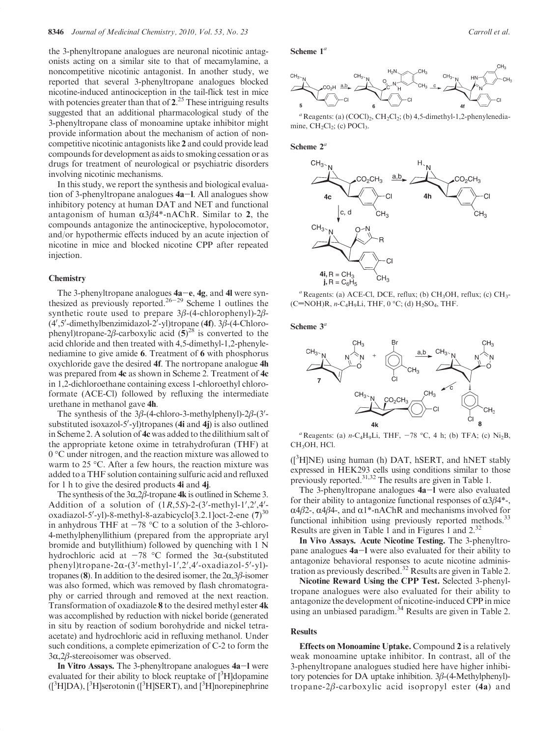the 3-phenyltropane analogues are neuronal nicotinic antagonists acting on a similar site to that of mecamylamine, a noncompetitive nicotinic antagonist. In another study, we reported that several 3-phenyltropane analogues blocked nicotine-induced antinociception in the tail-flick test in mice with potencies greater than that of  $2^{25}$  These intriguing results suggested that an additional pharmacological study of the 3-phenyltropane class of monoamine uptake inhibitor might provide information about the mechanism of action of noncompetitive nicotinic antagonists like 2 and could provide lead compounds for development as aids to smoking cessation or as drugs for treatment of neurological or psychiatric disorders involving nicotinic mechanisms.

In this study, we report the synthesis and biological evaluation of 3-phenyltropane analogues  $4a-1$ . All analogues show inhibitory potency at human DAT and NET and functional antagonism of human  $\alpha 3\beta 4^*$ -nAChR. Similar to 2, the compounds antagonize the antinociceptive, hypolocomotor, and/or hypothermic effects induced by an acute injection of nicotine in mice and blocked nicotine CPP after repeated injection.

## **Chemistry**

The 3-phenyltropane analogues  $4a-e$ ,  $4g$ , and  $4l$  were synthesized as previously reported.<sup>26-29</sup> Scheme 1 outlines the synthetic route used to prepare 3β-(4-chlorophenyl)-2β-  $(4', 5'$ -dimethylbenzimidazol-2'-yl)tropane  $(4f)$ . 3 $\beta$ - $(4$ -Chlorophenyl)tropane-2β-carboxylic acid  $(5)^{28}$  is converted to the acid chloride and then treated with 4,5-dimethyl-1,2-phenylenediamine to give amide 6. Treatment of 6 with phosphorus oxychloride gave the desired 4f. The nortropane analogue 4h was prepared from 4c as shown in Scheme 2. Treatment of 4c in 1,2-dichloroethane containing excess 1-chloroethyl chloroformate (ACE-Cl) followed by refluxing the intermediate urethane in methanol gave 4h.

The synthesis of the  $3\beta$ -(4-chloro-3-methylphenyl)-2 $\beta$ -(3'substituted isoxazol-5'-yl)tropanes (4i and 4j) is also outlined in Scheme 2. A solution of 4c was added to the dilithium salt of the appropriate ketone oxime in tetrahydrofuran (THF) at  $0^{\circ}$ C under nitrogen, and the reaction mixture was allowed to warm to  $25 \text{ °C}$ . After a few hours, the reaction mixture was added to a THF solution containing sulfuric acid and refluxed for 1 h to give the desired products 4i and 4j.

The synthesis of the  $3\alpha$ ,  $2\beta$ -tropane 4k is outlined in Scheme 3. Addition of a solution of  $(1R, 5S)$ -2- $(3'-\text{methyl-1}', 2', 4'-\text{ethol})$ oxadiazol-5'-yl)-8-methyl-8-azabicyclo[3.2.1]oct-2-ene (7)<sup>30</sup> in anhydrous THF at  $-78$  °C to a solution of the 3-chloro-4-methylphenyllithium (prepared from the appropriate aryl bromide and butyllithium) followed by quenching with 1 N hydrochloric acid at  $-78$  °C formed the 3 $\alpha$ -(substituted phenyl)tropane-2 $\alpha$ -(3'-methyl-1',2',4'-oxadiazol-5'-yl)tropanes (8). In addition to the desired isomer, the  $2\alpha,3\beta$ -isomer was also formed, which was removed by flash chromatography or carried through and removed at the next reaction. Transformation of oxadiazole 8 to the desired methyl ester 4k was accomplished by reduction with nickel boride (generated in situ by reaction of sodium borohydride and nickel tetraacetate) and hydrochloric acid in refluxing methanol. Under such conditions, a complete epimerization of C-2 to form the 3 $α$ ,2 $β$ -stereoisomer was observed.

In Vitro Assays. The 3-phenyltropane analogues  $4a-1$  were evaluated for their ability to block reuptake of  $[^{3}H]$ dopamine ([<sup>3</sup>H]DA), [<sup>3</sup>H]serotonin ([<sup>3</sup>H]SERT), and [<sup>3</sup>H]norepinephrine

#### Scheme  $1^a$



 $a$  Reagents: (a) (COCl)<sub>2</sub>, CH<sub>2</sub>Cl<sub>2</sub>; (b) 4,5-dimethyl-1,2-phenylenediamine,  $CH<sub>2</sub>Cl<sub>2</sub>$ ; (c) POCl<sub>3</sub>.

## Scheme  $2^a$



 $a$  Reagents: (a) ACE-Cl, DCE, reflux; (b) CH<sub>3</sub>OH, reflux; (c) CH<sub>3</sub>- $(C=NOH)R$ , n-C<sub>4</sub>H<sub>9</sub>Li, THF, 0 °C; (d) H<sub>2</sub>SO<sub>4</sub>, THF.

Scheme  $3^a$ 



<sup>a</sup> Reagents: (a) *n*-C<sub>4</sub>H<sub>9</sub>Li, THF, -78 °C, 4 h; (b) TFA; (c) Ni<sub>2</sub>B, CH3OH, HCl.

([3 H]NE) using human (h) DAT, hSERT, and hNET stably expressed in HEK293 cells using conditions similar to those previously reported.31,32 The results are given in Table 1.

The 3-phenyltropane analogues 4a-1 were also evaluated for their ability to antagonize functional responses of  $\alpha 3\beta 4^*$ -,  $\alpha$ 4β2-,  $\alpha$ 4β4-, and  $\alpha$ 1<sup>\*</sup>-nAChR and mechanisms involved for functional inhibition using previously reported methods.<sup>3</sup> Results are given in Table 1 and in Figures 1 and 2.32

In Vivo Assays. Acute Nicotine Testing. The 3-phenyltropane analogues 4a-l were also evaluated for their ability to antagonize behavioral responses to acute nicotine administration as previously described.<sup>32</sup> Results are given in Table 2.

Nicotine Reward Using the CPP Test. Selected 3-phenyltropane analogues were also evaluated for their ability to antagonize the development of nicotine-induced CPP in mice using an unbiased paradigm. $34$  Results are given in Table 2.

# **Results**

Effects on Monoamine Uptake. Compound 2 is a relatively weak monoamine uptake inhibitor. In contrast, all of the 3-phenyltropane analogues studied here have higher inhibitory potencies for DA uptake inhibition. 3β-(4-Methylphenyl) tropane- $2\beta$ -carboxylic acid isopropyl ester (4a) and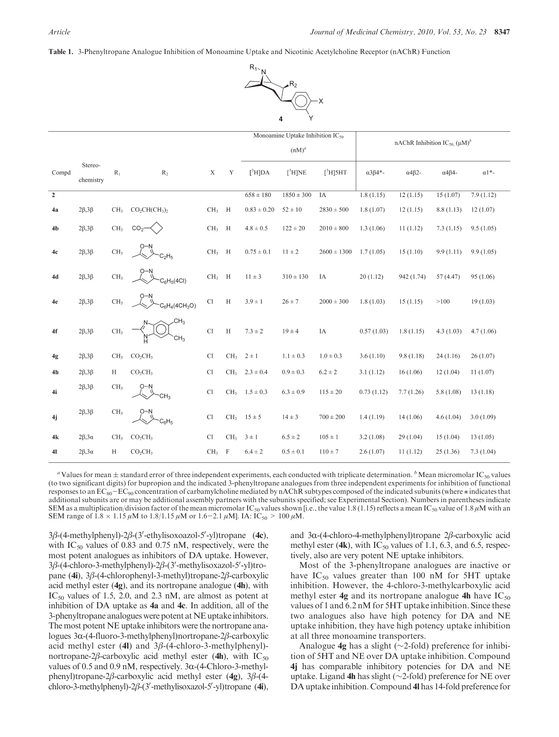Table 1. 3-Phenyltropane Analogue Inhibition of Monoamine Uptake and Nicotinic Acetylcholine Receptor (nAChR) Function



|                |                      |                 |                                    |                 |                 | Monoamine Uptake Inhibition $IC_{50}$<br>$(nM)^a$ |                | nAChR Inhibition IC <sub>50</sub> ( $\mu$ M) <sup>b</sup> |                       |                       |                       |              |
|----------------|----------------------|-----------------|------------------------------------|-----------------|-----------------|---------------------------------------------------|----------------|-----------------------------------------------------------|-----------------------|-----------------------|-----------------------|--------------|
| Compd          | Stereo-<br>chemistry | $R_1$           | $R_2$                              | $\mathbf X$     | Y               | $[^3$ H]DA                                        | $[^3$ H]NE     | $[^3$ H]5HT                                               | $\alpha 3\beta 4^*$ - | $\alpha$ 4 $\beta$ 2- | $\alpha$ 4 $\beta$ 4- | $\alpha$ 1*- |
| $\overline{2}$ |                      |                 |                                    |                 |                 | $658 \pm 180$                                     | $1850 \pm 300$ | IA                                                        | 1.8(1.15)             | 12(1.15)              | 15(1.07)              | 7.9(1.12)    |
| 4a             | $2\beta,3\beta$      | CH <sub>3</sub> | $CO2CH(CH3)2$                      | $CH3$ H         |                 | $0.83 \pm 0.20$                                   | $52 \pm 10$    | $2830 \pm 500$                                            | 1.8(1.07)             | 12(1.15)              | 8.8(1.13)             | 12(1.07)     |
| 4 <sub>b</sub> | $2\beta,3\beta$      | CH <sub>3</sub> | CO <sub>2</sub>                    | $CH3$ H         |                 | $4.8 \pm 0.5$                                     | $122 \pm 20$   | $2010 \pm 800$                                            | 1.3(1.06)             | 11(1.12)              | 7.3(1.15)             | 9.5(1.05)    |
| 4c             | $2\beta,3\beta$      | CH <sub>3</sub> |                                    | $CH3$ H         |                 | $0.75 \pm 0.1$                                    | $11 \pm 2$     | $2600 \pm 1300$                                           | 1.7(1.05)             | 15(1.10)              | 9.9(1.11)             | 9.9(1.05)    |
| 4d             | $2\beta,3\beta$      | CH <sub>3</sub> | $S_6H_5(4Cl)$                      | $CH3$ H         |                 | $11 \pm 3$                                        | $310 \pm 130$  | IA                                                        | 20(1.12)              | 942 (1.74)            | 57 (4.47)             | 95 (1.06)    |
| 4e             | $2\beta,3\beta$      | CH <sub>3</sub> | $C_6H_4(4CH_3O)$                   | Cl              | H               | $3.9 \pm 1$                                       | $26\pm7$       | $2000 \pm 300$                                            | 1.8(1.03)             | 15(1.15)              | >100                  | 19(1.03)     |
| 4f             | $2\beta,3\beta$      | CH <sub>3</sub> | CH <sub>3</sub><br>CH <sub>3</sub> | C1              | $\, {\rm H}$    | $7.3 \pm 2$                                       | $19 \pm 4$     | IA                                                        | 0.57(1.03)            | 1.8(1.15)             | 4.3(1.03)             | 4.7(1.06)    |
| 4g             | $2\beta,3\beta$      | CH <sub>3</sub> | CO <sub>2</sub> CH <sub>3</sub>    | C <sub>1</sub>  | CH <sub>3</sub> | $2 \pm 1$                                         | $1.1 \pm 0.3$  | $1.0 \pm 0.3$                                             | 3.6(1.10)             | 9.8(1.18)             | 24(1.16)              | 26(1.07)     |
| 4h             | $2\beta,3\beta$      | $\,$ H          | CO <sub>2</sub> CH <sub>3</sub>    | Cl              | CH <sub>3</sub> | $2.3 \pm 0.4$                                     | $0.9 \pm 0.3$  | $6.2 \pm 2$                                               | 3.1(1.12)             | 16(1.06)              | 12(1.04)              | 11(1.07)     |
| 4i             | $2\beta,3\beta$      | CH <sub>3</sub> | CH <sub>3</sub>                    | Cl              |                 | $CH_3$ 1.5 $\pm$ 0.3                              | $6.3 \pm 0.9$  | $115 \pm 20$                                              | 0.73(1.12)            | 7.7(1.26)             | 5.8(1.08)             | 13(1.18)     |
| 4j             | $2\beta,3\beta$      | CH <sub>3</sub> | O-N<br>$C_6H_5$                    | Cl              | CH <sub>3</sub> | $15 \pm 5$                                        | $14 \pm 3$     | $700 \pm 200$                                             | 1.4(1.19)             | 14(1.06)              | 4.6(1.04)             | 3.0(1.09)    |
| 4k             | $2\beta, 3\alpha$    | CH <sub>3</sub> | CO <sub>2</sub> CH <sub>3</sub>    | Cl              | CH <sub>3</sub> | $3 \pm 1$                                         | $6.5 \pm 2$    | $105 \pm 1$                                               | 3.2(1.08)             | 29(1.04)              | 15(1.04)              | 13(1.05)     |
| 41             | $2\beta, 3\alpha$    | $\,$ H          | CO <sub>2</sub> CH <sub>3</sub>    | CH <sub>3</sub> | $\,$ F          | $6.4 \pm 2$                                       | $0.5 \pm 0.1$  | $110 \pm 7$                                               | 2.6(1.07)             | 11(1.12)              | 25(1.36)              | 7.3(1.04)    |

<sup>a</sup> Values for mean  $\pm$  standard error of three independent experiments, each conducted with triplicate determination.  $\frac{b}{n}$ Mean micromolar IC<sub>50</sub> values (to two significant digits) for bupropion and the indicated 3-phenyltropane analogues from three independent experiments for inhibition of functional responses to an  $EC_{80}-EC_{90}$  concentration of carbamylcholine mediated by nAChR subtypes composed of the indicated subunits (where  $*$  indicates that additional subunits are or may be additional assembly partners with the subunits specified; see Experimental Section). Numbers in parentheses indicate SEM as a multiplication/division factor of the mean micromolar IC<sub>50</sub> values shown [i.e., the value 1.8 (1.15) reflects a mean IC<sub>50</sub> value of 1.8  $\mu$ M with an SEM range of  $1.8 \times 1.15 \,\mu$ M to  $1.8/1.15 \,\mu$ M or  $1.6-2.1 \,\mu$ M]. IA: IC<sub>50</sub> > 100  $\mu$ M.

 $3\beta$ -(4-methylphenyl)-2 $\beta$ -(3'-ethylisoxoazol-5'-yl)tropane (4c), with  $IC_{50}$  values of 0.83 and 0.75 nM, respectively, were the most potent analogues as inhibitors of DA uptake. However,  $3\beta$ -(4-chloro-3-methylphenyl)-2 $\beta$ -(3'-methylisoxazol-5'-yl)tropane (4i), 3β-(4-chlorophenyl-3-methyl)tropane-2β-carboxylic acid methyl ester (4g), and its nortropane analogue (4h), with  $IC_{50}$  values of 1.5, 2.0, and 2.3 nM, are almost as potent at inhibition of DA uptake as 4a and 4c. In addition, all of the 3-phenyltropane analogues were potent at NE uptake inhibitors. The most potent NE uptake inhibitors were the nortropane analogues 3R-(4-fluoro-3-methylphenyl)nortropane-2β-carboxylic acid methyl ester (4l) and  $3\beta$ -(4-chloro-3-methylphenyl)nortropane-2β-carboxylic acid methyl ester (4h), with  $IC_{50}$ values of 0.5 and 0.9 nM, respectively.  $3\alpha$ -(4-Chloro-3-methylphenyl)tropane-2β-carboxylic acid methyl ester (4g), 3β-(4 chloro-3-methylphenyl)- $2\beta$ -(3'-methylisoxazol-5'-yl)tropane (4i),

and 3R-(4-chloro-4-methylphenyl)tropane 2β-carboxylic acid methyl ester (4k), with  $IC_{50}$  values of 1.1, 6.3, and 6.5, respectively, also are very potent NE uptake inhibitors.

Most of the 3-phenyltropane analogues are inactive or have  $IC_{50}$  values greater than 100 nM for 5HT uptake inhibition. However, the 4-chloro-3-methylcarboxylic acid methyl ester  $4g$  and its nortropane analogue  $4h$  have  $IC_{50}$ values of 1 and 6.2 nM for 5HT uptake inhibition. Since these two analogues also have high potency for DA and NE uptake inhibition, they have high potency uptake inhibition at all three monoamine transporters.

Analogue 4g has a slight (∼2-fold) preference for inhibition of 5HT and NE over DA uptake inhibition. Compound 4j has comparable inhibitory potencies for DA and NE uptake. Ligand 4h has slight (∼2-fold) preference for NE over DA uptake inhibition. Compound 4l has 14-fold preference for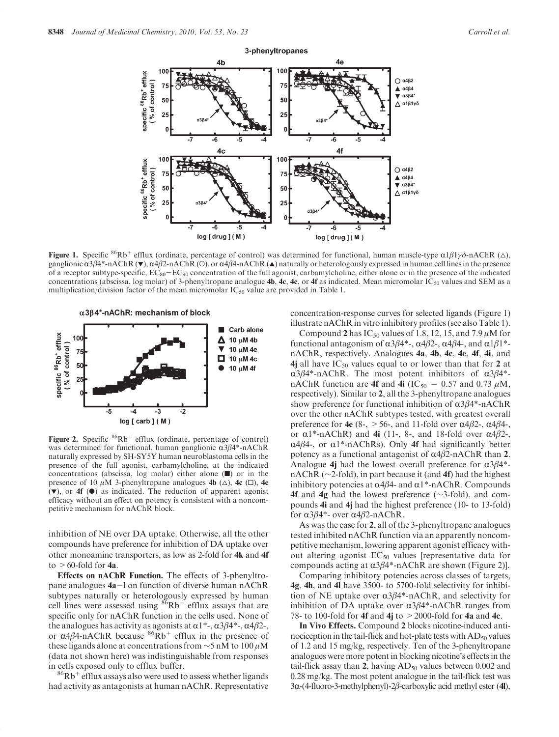

**Figure 1.** Specific <sup>86</sup>Rb<sup>+</sup> efflux (ordinate, percentage of control) was determined for functional, human muscle-type  $\alpha 1\beta 1\gamma\delta$ -nAChR ( $\triangle$ ), ganglionic  $\alpha$ 3β4\*-nAChR ( $\blacktriangledown$ ),  $\alpha$ 4β2-nAChR ( $\bigcirc$ ), or  $\alpha$ 4β4-nAChR ( $\blacktriangle$ ) naturally or heterologously expressed in human cell lines in the presence of a receptor subtype-specific,  $EC_{80}-EC_{90}$  concentration of the full agonist, carbamylcholine, either alone or in the presence of the indicated concentrations (abscissa, log molar) of 3-phenyltropane analogue **4b, 4c, 4e**, or **4f** as indicated. Mean micromolar  $IC_{50}$  values and SEM as a multiplication/division factor of the mean micromolar  $IC_{50}$  value are provided in Table 1.





Figure 2. Specific  $86Rb^+$  efflux (ordinate, percentage of control) was determined for functional, human ganglionic  $\alpha 3\beta 4^*$ -nAChR naturally expressed by SH-SY5Y human neuroblastoma cells in the presence of the full agonist, carbamylcholine, at the indicated concentrations (abscissa, log molar) either alone  $(\blacksquare)$  or in the presence of 10  $\mu$ M 3-phenyltropane analogues 4b ( $\Delta$ ), 4c ( $\Box$ ), 4e  $(\blacktriangledown)$ , or 4f  $(\blacktriangle)$  as indicated. The reduction of apparent agonist efficacy without an effect on potency is consistent with a noncompetitive mechanism for nAChR block.

inhibition of NE over DA uptake. Otherwise, all the other compounds have preference for inhibition of DA uptake over other monoamine transporters, as low as 2-fold for 4k and 4f to  $>60$ -fold for 4a.

Effects on nAChR Function. The effects of 3-phenyltropane analogues 4a-l on function of diverse human nAChR subtypes naturally or heterologously expressed by human cell lines were assessed using  $86Rb^+$  efflux assays that are specific only for nAChR function in the cells used. None of the analogues has activity as agonists at  $\alpha$ 1\*-,  $\alpha$ 3β4\*-,  $\alpha$ 4β2-, or  $\alpha$ 4β4-nAChR because <sup>86</sup>Rb<sup>+</sup> efflux in the presence of these ligands alone at concentrations from  $\sim$ 5 nM to 100  $\mu$ M (data not shown here) was indistinguishable from responses

in cells exposed only to efflux buffer.<br> ${}^{86}Rb^+$  efflux assays also were used to assess whether ligands had activity as antagonists at human nAChR. Representative

concentration-response curves for selected ligands (Figure 1) illustrate nAChR in vitro inhibitory profiles (see also Table 1).

Compound 2 has  $IC_{50}$  values of 1.8, 12, 15, and 7.9  $\mu$ M for functional antagonism of  $\alpha 3\beta 4^*$ -,  $\alpha 4\beta 2$ -,  $\alpha 4\beta 4$ -, and  $\alpha 1\beta 1^*$ nAChR, respectively. Analogues 4a, 4b, 4c, 4e, 4f, 4i, and 4j all have  $IC_{50}$  values equal to or lower than that for 2 at  $\alpha$ 3 $\beta$ 4\*-nAChR. The most potent inhibitors of  $\alpha$ 3 $\beta$ 4\*nAChR function are 4f and 4i (IC<sub>50</sub> = 0.57 and 0.73  $\mu$ M, respectively). Similar to 2, all the 3-phenyltropane analogues show preference for functional inhibition of  $\alpha$ 3β4\*-nAChR over the other nAChR subtypes tested, with greatest overall preference for 4e (8-,  $> 56$ -, and 11-fold over  $\alpha$ 4β2-,  $\alpha$ 4β4-, or  $\alpha$ 1\*-nAChR) and 4i (11-, 8-, and 18-fold over  $\alpha$ 4 $\beta$ 2-,  $\alpha$ 4β4-, or  $\alpha$ 1<sup>\*</sup>-nAChRs). Only 4f had significantly better potency as a functional antagonist of  $α4β2$ -nAChR than 2. Analogue 4j had the lowest overall preference for  $\alpha 3\beta 4^*$ nAChR (∼2-fold), in part because it (and 4f) had the highest inhibitory potencies at  $\alpha$ 4β4- and  $\alpha$ 1\*-nAChR. Compounds 4f and 4g had the lowest preference (∼3-fold), and compounds 4i and 4j had the highest preference (10- to 13-fold) for  $α3β4*-$  over  $α4β2-nAChR$ .

As was the case for 2, all of the 3-phenyltropane analogues tested inhibited nAChR function via an apparently noncompetitive mechanism, lowering apparent agonist efficacy without altering agonist  $EC_{50}$  values [representative data for compounds acting at  $α3β4*-nAChR$  are shown (Figure 2)].

Comparing inhibitory potencies across classes of targets, 4g, 4h, and 4l have 3500- to 5700-fold selectivity for inhibition of NE uptake over  $\alpha$ 3 $\beta$ 4\*-nAChR, and selectivity for inhibition of DA uptake over  $\alpha$ 3β4\*-nAChR ranges from 78- to 100-fold for 4f and 4j to  $>$  2000-fold for 4a and 4c.

In Vivo Effects. Compound 2 blocks nicotine-induced antinociception in the tail-flick and hot-plate tests with  $AD_{50}$  values of 1.2 and 15 mg/kg, respectively. Ten of the 3-phenyltropane analogues were more potent in blocking nicotine's effects in the tail-flick assay than 2, having  $AD_{50}$  values between 0.002 and 0.28 mg/kg. The most potent analogue in the tail-flick test was 3R-(4-fluoro-3-methylphenyl)-2β-carboxylic acid methyl ester (4l),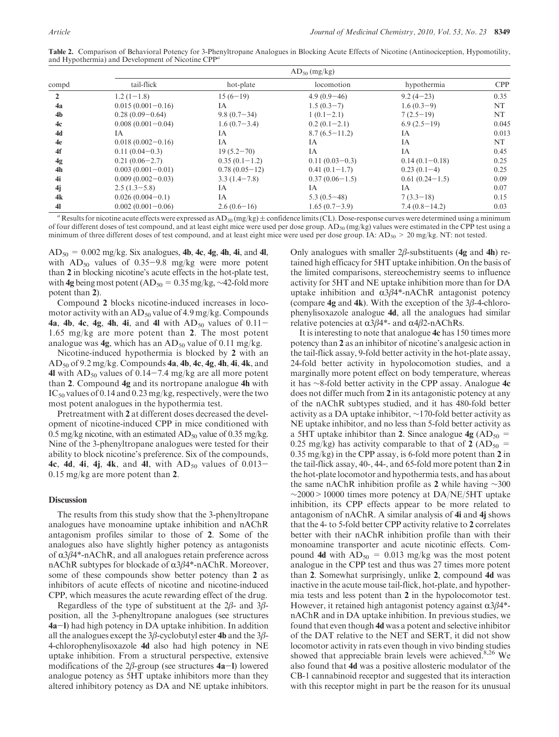| Table 2. Comparison of Behavioral Potency for 3-Phenyltropane Analogues in Blocking Acute Effects of Nicotine (Antinociception, Hypomotility, |  |  |
|-----------------------------------------------------------------------------------------------------------------------------------------------|--|--|
| and Hypothermia) and Development of Nicotine CPP <sup>a</sup>                                                                                 |  |  |

|                | $AD_{50}$ (mg/kg)     |                  |                  |                  |       |  |  |  |  |  |
|----------------|-----------------------|------------------|------------------|------------------|-------|--|--|--|--|--|
| compd          | tail-flick            | hot-plate        | locomotion       | hypothermia      | CPP   |  |  |  |  |  |
| $\mathbf{2}$   | $1.2(1-1.8)$          | $15(6-19)$       | $4.9(0.9-46)$    | $9.2(4-23)$      | 0.35  |  |  |  |  |  |
| 4a             | $0.015(0.001 - 0.16)$ | IA               | $1.5(0.3-7)$     | $1.6(0.3-9)$     | NT    |  |  |  |  |  |
| 4 <sub>b</sub> | $0.28(0.09-0.64)$     | $9.8(0.7-34)$    | $1(0.1-2.1)$     | $7(2.5-19)$      | NT    |  |  |  |  |  |
| 4c             | $0.008(0.001-0.04)$   | $1.6(0.7-3.4)$   | $0.2(0.1-2.1)$   | $6.9(2.5-19)$    | 0.045 |  |  |  |  |  |
| 4d             | ΙA.                   | IA               | $8.7(6.5-11.2)$  | IA               | 0.013 |  |  |  |  |  |
| 4e             | $0.018(0.002 - 0.16)$ | IA               | <b>IA</b>        | <b>IA</b>        | NT    |  |  |  |  |  |
| 4f             | $0.11(0.04-0.3)$      | $19(5.2 - 70)$   | IA               | IA               | 0.45  |  |  |  |  |  |
| 4g             | $0.21(0.06-2.7)$      | $0.35(0.1-1.2)$  | $0.11(0.03-0.3)$ | $0.14(0.1-0.18)$ | 0.25  |  |  |  |  |  |
| 4h             | $0.003(0.001-0.01)$   | $0.78(0.05-12)$  | $0.41(0.1-1.7)$  | $0.23(0.1-4)$    | 0.25  |  |  |  |  |  |
| 4i             | $0.009(0.002 - 0.03)$ | $3.3(1.4 - 7.8)$ | $0.37(0.06-1.5)$ | $0.61(0.24-1.5)$ | 0.09  |  |  |  |  |  |
| 4j             | $2.5(1.3-5.8)$        | IA               | IA               | <b>IA</b>        | 0.07  |  |  |  |  |  |
| 4k             | $0.026(0.004-0.1)$    | IA               | $5.3(0.5-48)$    | $7(3.3-18)$      | 0.15  |  |  |  |  |  |
| 41             | $0.002(0.001-0.06)$   | $2.6(0.6-16)$    | $1.65(0.7-3.9)$  | $7.4(0.8-14.2)$  | 0.03  |  |  |  |  |  |

<sup>a</sup> Results for nicotine acute effects were expressed as AD<sub>50</sub> (mg/kg)  $\pm$  confidence limits (CL). Dose-response curves were determined using a minimum of four different doses of test compound, and at least eight mice were used per dose group.  $AD_{50}$  (mg/kg) values were estimated in the CPP test using a minimum of three different doses of test compound, and at least eight mice were used per dose group. IA:  $AD_{50}$  > 20 mg/kg. NT: not tested.

 $AD_{50} = 0.002$  mg/kg. Six analogues, 4b, 4c, 4g, 4h, 4i, and 4l, with  $AD_{50}$  values of 0.35-9.8 mg/kg were more potent than 2 in blocking nicotine's acute effects in the hot-plate test, with 4g being most potent (AD<sub>50</sub> = 0.35 mg/kg,  $\sim$ 42-fold more potent than 2).

Compound 2 blocks nicotine-induced increases in locomotor activity with an  $AD_{50}$  value of 4.9 mg/kg. Compounds 4a, 4b, 4c, 4g, 4h, 4i, and 4l with  $AD_{50}$  values of  $0.11-$ 1.65 mg/kg are more potent than 2. The most potent analogue was  $4g$ , which has an  $AD_{50}$  value of 0.11 mg/kg.

Nicotine-induced hypothermia is blocked by 2 with an  $AD_{50}$  of 9.2 mg/kg. Compounds 4a, 4b, 4c, 4g, 4h, 4i, 4k, and 4l with  $AD_{50}$  values of 0.14-7.4 mg/kg are all more potent than 2. Compound 4g and its nortropane analogue 4h with  $IC_{50}$  values of 0.14 and 0.23 mg/kg, respectively, were the two most potent analogues in the hypothermia test.

Pretreatment with 2 at different doses decreased the development of nicotine-induced CPP in mice conditioned with 0.5 mg/kg nicotine, with an estimated  $AD_{50}$  value of 0.35 mg/kg. Nine of the 3-phenyltropane analogues were tested for their ability to block nicotine's preference. Six of the compounds, 4c, 4d, 4i, 4j, 4k, and 4l, with  $AD_{50}$  values of 0.013-0.15 mg/kg are more potent than 2.

## Discussion

The results from this study show that the 3-phenyltropane analogues have monoamine uptake inhibition and nAChR antagonism profiles similar to those of 2. Some of the analogues also have slightly higher potency as antagonists of  $α3β4*-nAChR$ , and all analogues retain preference across nAChR subtypes for blockade of  $α3β4*-nAChR$ . Moreover, some of these compounds show better potency than 2 as inhibitors of acute effects of nicotine and nicotine-induced CPP, which measures the acute rewarding effect of the drug.

Regardless of the type of substituent at the 2β- and 3βposition, all the 3-phenyltropane analogues (see structures 4a-l) had high potency in DA uptake inhibition. In addition all the analogues except the 3 $\beta$ -cyclobutyl ester 4b and the 3 $\beta$ -4-chlorophenylisoxazole 4d also had high potency in NE uptake inhibition. From a structural perspective, extensive modifications of the  $2\beta$ -group (see structures **4a**-l) lowered analogue potency as 5HT uptake inhibitors more than they altered inhibitory potency as DA and NE uptake inhibitors.

Only analogues with smaller  $2\beta$ -substituents (4g and 4h) retained high efficacy for 5HT uptake inhibition. On the basis of the limited comparisons, stereochemistry seems to influence activity for 5HT and NE uptake inhibition more than for DA uptake inhibition and  $\alpha$ 3 $\beta$ 4\*-nAChR antagonist potency (compare  $4g$  and  $4k$ ). With the exception of the  $3\beta$ -4-chlorophenylisoxazole analogue 4d, all the analogues had similar relative potencies at  $α3β4*-$  and  $α4β2-nAChRs.$ 

It is interesting to note that analogue 4c has 150 times more potency than 2 as an inhibitor of nicotine's analgesic action in the tail-flick assay, 9-fold better activity in the hot-plate assay, 24-fold better activity in hypolocomotion studies, and a marginally more potent effect on body temperature, whereas it has ∼8-fold better activity in the CPP assay. Analogue 4c does not differ much from 2 in its antagonistic potency at any of the nAChR subtypes studied, and it has 480-fold better activity as a DA uptake inhibitor, ∼170-fold better activity as NE uptake inhibitor, and no less than 5-fold better activity as a 5HT uptake inhibitor than 2. Since analogue  $4g (AD_{50} =$ 0.25 mg/kg) has activity comparable to that of 2 (AD<sub>50</sub> = 0.35 mg/kg) in the CPP assay, is 6-fold more potent than 2 in the tail-flick assay, 40-, 44-, and 65-fold more potent than 2 in the hot-plate locomotor and hypothermia tests, and has about the same nAChR inhibition profile as 2 while having ∼300  $\sim$ 2000 > 10000 times more potency at DA/NE/5HT uptake inhibition, its CPP effects appear to be more related to antagonism of nAChR. A similar analysis of 4i and 4j shows that the 4- to 5-fold better CPP activity relative to 2 correlates better with their nAChR inhibition profile than with their monoamine transporter and acute nicotinic effects. Compound 4d with  $AD_{50} = 0.013$  mg/kg was the most potent analogue in the CPP test and thus was 27 times more potent than 2. Somewhat surprisingly, unlike 2, compound 4d was inactive in the acute mouse tail-flick, hot-plate, and hypothermia tests and less potent than 2 in the hypolocomotor test. However, it retained high antagonist potency against  $α3β4^*$ nAChR and in DA uptake inhibition. In previous studies, we found that even though 4d was a potent and selective inhibitor of the DAT relative to the NET and SERT, it did not show locomotor activity in rats even though in vivo binding studies showed that appreciable brain levels were achieved. $8,26$  We also found that 4d was a positive allosteric modulator of the CB-1 cannabinoid receptor and suggested that its interaction with this receptor might in part be the reason for its unusual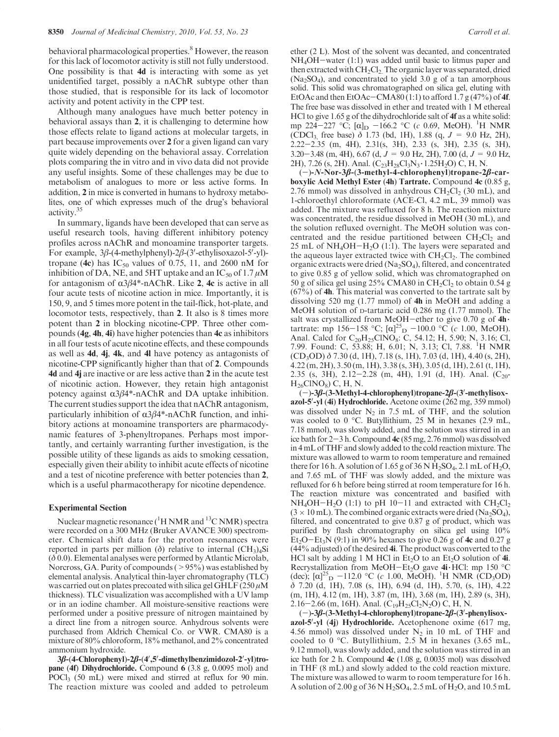behavioral pharmacological properties.<sup>8</sup> However, the reason for this lack of locomotor activity is still not fully understood. One possibility is that 4d is interacting with some as yet unidentified target, possibly a nAChR subtype other than those studied, that is responsible for its lack of locomotor activity and potent activity in the CPP test.

Although many analogues have much better potency in behavioral assays than 2, it is challenging to determine how those effects relate to ligand actions at molecular targets, in part because improvements over 2 for a given ligand can vary quite widely depending on the behavioral assay. Correlation plots comparing the in vitro and in vivo data did not provide any useful insights. Some of these challenges may be due to metabolism of analogues to more or less active forms. In addition, 2 in mice is converted in humans to hydroxy metabolites, one of which expresses much of the drug's behavioral activity.35

In summary, ligands have been developed that can serve as useful research tools, having different inhibitory potency profiles across nAChR and monoamine transporter targets. For example,  $3\beta$ -(4-methylphenyl)- $2\beta$ -(3'-ethylisoxazol-5'-yl)tropane (4c) has  $IC_{50}$  values of 0.75, 11, and 2600 nM for inhibition of DA, NE, and 5HT uptake and an  $IC_{50}$  of 1.7  $\mu$ M for antagonism of  $\alpha 3\beta 4^*$ -nAChR. Like 2, 4c is active in all four acute tests of nicotine action in mice. Importantly, it is 150, 9, and 5 times more potent in the tail-flick, hot-plate, and locomotor tests, respectively, than 2. It also is 8 times more potent than 2 in blocking nicotine-CPP. Three other compounds (4g, 4h, 4i) have higher potencies than 4c as inhibitors in all four tests of acute nicotine effects, and these compounds as well as 4d, 4j, 4k, and 4l have potency as antagonists of nicotine-CPP significantly higher than that of 2. Compounds 4d and 4j are inactive or are less active than 2 in the acute test of nicotinic action. However, they retain high antagonist potency against  $α3β4*-nAChR$  and DA uptake inhibition. The current studies support the idea that nAChR antagonism, particularly inhibition of  $α3β4*-nAChR$  function, and inhibitory actions at monoamine transporters are pharmacodynamic features of 3-phenyltropanes. Perhaps most importantly, and certainly warranting further investigation, is the possible utility of these ligands as aids to smoking cessation, especially given their ability to inhibit acute effects of nicotine and a test of nicotine preference with better potencies than 2, which is a useful pharmacotherapy for nicotine dependence.

## Experimental Section

Nuclear magnetic resonance  $({}^{1}H NMR$  and  ${}^{13}C NMR)$  spectra were recorded on a 300 MHz (Bruker AVANCE 300) spectrometer. Chemical shift data for the proton resonances were reported in parts per million (δ) relative to internal  $(CH_3)_4Si$  $(δ 0.0)$ . Elemental analyses were performed by Atlantic Microlab, Norcross, GA. Purity of compounds  $(>95\%)$  was established by elemental analysis. Analytical thin-layer chromatography (TLC) was carried out on plates precoated with silica gel GHLF  $(250 \,\mu\text{M})$ thickness). TLC visualization was accomplished with a UV lamp or in an iodine chamber. All moisture-sensitive reactions were performed under a positive pressure of nitrogen maintained by a direct line from a nitrogen source. Anhydrous solvents were purchased from Aldrich Chemical Co. or VWR. CMA80 is a mixture of 80% chloroform, 18% methanol, and 2% concentrated ammonium hydroxide.

3β-(4-Chlorophenyl)-2β-(4′,5′-dimethylbenzimidozol-2′-yl)tropane (4f) Dihydrochloride. Compound 6 (3.8 g, 0.0095 mol) and POCl<sub>3</sub> (50 mL) were mixed and stirred at reflux for 90 min. The reaction mixture was cooled and added to petroleum ether (2 L). Most of the solvent was decanted, and concentrated NH4OH-water (1:1) was added until basic to litmus paper and then extracted with  $CH_2Cl_2$ . The organic layer was separated, dried  $(Na<sub>2</sub>SO<sub>4</sub>)$ , and concentrated to yield 3.0 g of a tan amorphous solid. This solid was chromatographed on silica gel, eluting with EtOAc and then EtOAc-CMA80 (1:1) to afford 1.7  $g(47\%)$  of 4f. The free base was dissolved in ether and treated with 1 M ethereal HCl to give 1.65 g of the dihydrochloride salt of 4f as a white solid: mp 224–227 °C;  $[\alpha]_D$  –166.2 °C (c 0.69, MeOH). <sup>1</sup>H NMR (CDCl<sub>3,</sub> free base)  $\delta$  1.73 (bd, 1H), 1.88 (q,  $J = 9.0$  Hz, 2H), 2.22-2.35 (m, 4H), 2.31(s, 3H), 2.33 (s, 3H), 2.35 (s, 3H), 3.20-3.48 (m, 4H), 6.67 (d,  $J = 9.0$  Hz, 2H), 7.00 (d,  $J = 9.0$  Hz, 2H), 7.26 (s, 2H). Anal.  $(C_{23}H_{28}Cl_3N_3 \cdot 1.25H_2O)$  C, H, N.

(-)-N-Nor-3β-(3-methyl-4-chlorophenyl)tropane-2β-carboxylic Acid Methyl Ester (4h) Tartrate. Compound 4c (0.85 g, 2.76 mmol) was dissolved in anhydrous  $CH<sub>2</sub>Cl<sub>2</sub>$  (30 mL), and 1-chloroethyl chloroformate (ACE-Cl, 4.2 mL, 39 mmol) was added. The mixture was refluxed for 8 h. The reaction mixture was concentrated, the residue dissolved in MeOH (30 mL), and the solution refluxed overnight. The MeOH solution was concentrated and the residue partitioned between  $CH<sub>2</sub>Cl<sub>2</sub>$  and 25 mL of NH4OH-H2O (1:1). The layers were separated and the aqueous layer extracted twice with  $CH<sub>2</sub>Cl<sub>2</sub>$ . The combined organic extracts were dried  $(Na_2SO_4)$ , filtered, and concentrated to give 0.85 g of yellow solid, which was chromatographed on 50 g of silica gel using  $25\%$  CMA80 in CH<sub>2</sub>Cl<sub>2</sub> to obtain 0.54 g  $(67%)$  of **4h**. This material was converted to the tartrate salt by dissolving 520 mg (1.77 mmol) of 4h in MeOH and adding a MeOH solution of D-tartaric acid 0.286 mg (1.77 mmol). The salt was crystallized from MeOH-ether to give 0.70 g of 4h $\cdot$  tartrate: mp 156-158 °C; [ $\alpha$ ]<sup>25</sup><sub>D</sub> -100.0 °C (*c* 1.00, MeOH). Anal. Calcd for C<sub>20</sub>H<sub>25</sub>ClNO<sub>8</sub>: C, 54.12; H, 5.90; N, 3.16; Cl, 7.99. Found: C, 53.88; H, 6.01; N, 3.13; Cl, 7.88. <sup>1</sup>H NMR (CD3OD) δ 7.30 (d, 1H), 7.18 (s, 1H), 7.03 (d, 1H), 4.40 (s, 2H), 4.22 (m, 2H), 3.50 (m, 1H), 3.38 (s, 3H), 3.05 (d, 1H), 2.61 (t, 1H), 2.35 (s, 3H), 2.12–2.28 (m, 4H), 1.91 (d, 1H). Anal. ( $C_{20}$ - $H_{26}CINO_8)$  C, H, N.

 $(-)$ -3β-(3-Methyl-4-chlorophenyl)tropane-2β-(3'-methylisoxazol-5'-yl (4i) Hydrochloride. Acetone oxime (262 mg, 359 mmol) was dissolved under  $N_2$  in 7.5 mL of THF, and the solution was cooled to 0 °C. Butyllithium, 25 M in hexanes (2.9 mL, 7.18 mmol), was slowly added, and the solution was stirred in an ice bath for  $2-3$  h. Compound  $4c$  (85 mg, 2.76 mmol) was dissolved in 4 mL of THF and slowly added to the cold reaction mixture. The mixture was allowed to warm to room temperature and remained there for 16 h. A solution of 1.65 g of 36 N  $H_2SO_4$ , 2.1 mL of  $H_2O$ , and 7.65 mL of THF was slowly added, and the mixture was refluxed for 6 h before being stirred at room temperature for 16 h. The reaction mixture was concentrated and basified with  $NH_4OH-H_2O$  (1:1) to pH 10-11 and extracted with  $CH_2Cl_2$  $(3 \times 10 \text{ mL})$ . The combined organic extracts were dried (Na<sub>2</sub>SO<sub>4</sub>), filtered, and concentrated to give 0.87 g of product, which was purified by flash chromatography on silica gel using 10% Et<sub>2</sub>O-Et<sub>3</sub>N (9:1) in 90% hexanes to give 0.26 g of 4c and 0.27 g  $(44\%$  adjusted) of the desired 4i. The product was converted to the HCl salt by adding 1 M HCl in  $Et_2O$  to an  $Et_2O$  solution of 4i. Recrystallization from MeOH-Et<sub>2</sub>O gave  $4i$  HCl: mp 150 °C (dec);  $[\alpha]_{D}^{25}$  –112.0 °C (c 1.00, MeOH). <sup>1</sup>H NMR (CD<sub>3</sub>OD) δ 7.20 (d, 1H), 7.08 (s, 1H), 6.94 (d, 1H), 5.70, (s, 1H), 4.22 (m, 1H), 4.12 (m, 1H), 3.87 (m, 1H), 3.68 (m, 1H), 2.89 (s, 3H), 2.16-2.66 (m, 16H). Anal.  $(C_{19}H_{25}Cl_2N_2O)$  C, H, N.

 $(-)$ -3β-(3-Methyl-4-chlorophenyl)tropane-2β-(3'-phenylisoxazol-5'-yl (4j) Hydrochloride. Acetophenone oxime (617 mg, 4.56 mmol) was dissolved under  $N_2$  in 10 mL of THF and cooled to 0 °C. Butyllithium, 2.5 M in hexanes  $(3.65 \text{ mL})$ , 9.12 mmol), was slowly added, and the solution was stirred in an ice bath for 2 h. Compound 4c (1.08 g, 0.0035 mol) was dissolved in THF (8 mL) and slowly added to the cold reaction mixture. The mixture was allowed to warm to room temperature for 16 h. A solution of 2.00 g of 36 N  $H_2SO_4$ , 2.5 mL of  $H_2O$ , and 10.5 mL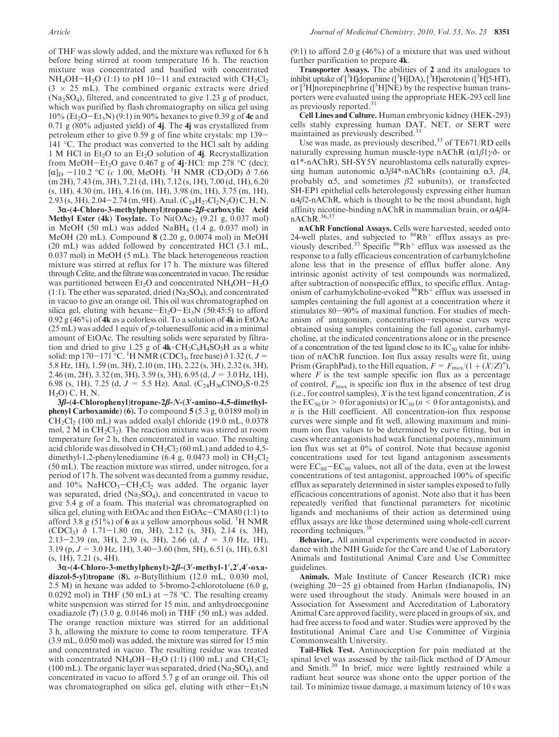of THF was slowly added, and the mixture was refluxed for 6 h before being stirred at room temperature 16 h. The reaction mixture was concentrated and basified with concentrated  $NH_4OH-H_2O$  (1:1) to pH 10-11 and extracted with  $CH_2Cl_2$  $(3 \times 25 \text{ mL})$ . The combined organic extracts were dried  $(Na<sub>2</sub>SO<sub>4</sub>)$ , filtered, and concentrated to give 1.23 g of product, which was purified by flash chromatography on silica gel using 10% (Et<sub>2</sub>O-Et<sub>3</sub>N) (9:1) in 90% hexanes to give 0.39 g of 4c and  $0.71$  g (80% adjusted yield) of 4j. The 4j was crystallized from petroleum ether to give 0.59 g of fine white crystals: mp 139- 141  $\degree$ C. The product was converted to the HCl salt by adding 1 M HCl in Et<sub>2</sub>O to an Et<sub>2</sub>O solution of 4*j*. Recrystallization from MeOH-Et<sub>2</sub>O gave 0.467 g of  $4j$  HCl: mp 278 °C (dec);  $[\alpha]_D$  –110.2 °C (c 1.00, MeOH). <sup>1</sup>H NMR (CD<sub>3</sub>OD) δ 7.66 (m 2H), 7.43 (m, 3H), 7.21 (d, 1H), 7.12 (s, 1H), 7.00 (d, 1H), 6.20 (s, 1H), 4.30 (m, 1H), 4.16 (m, 1H), 3.98 (m, 1H), 3.75 (m, 1H), 2.93 (s, 3H), 2.04–2.74 (m, 9H). Anal. (C<sub>24</sub>H<sub>27</sub>Cl<sub>2</sub>N<sub>2</sub>O) C, H, N.

3α-(4-Chloro-3-methylphenyl)tropane-2β-carboxylic Acid Methyl Ester (4k) Tosylate. To  $Ni(OAc)_2$  (9.21 g, 0.037 mol) in MeOH (50 mL) was added NaBH<sub>4</sub> (1.4 g, 0.037 mol) in MeOH (20 mL). Compound 8 (2.20 g, 0.0074 mol) in MeOH (20 mL) was added followed by concentrated HCl (3.1 mL, 0.037 mol) in MeOH (5 mL). The black heterogeneous reaction mixture was stirred at reflux for 17 h. The mixture was filtered through Celite, and the filtrate was concentratedin vacuo.The residue was partitioned between  $Et_2O$  and concentrated  $NH_4OH-H_2O$  $(1:1)$ . The ether was separated, dried  $(Na_2SO_4)$ , and concentrated in vacuo to give an orange oil. This oil was chromatographed on silica gel, eluting with hexane-Et<sub>2</sub>O-Et<sub>3</sub>N (50:45:5) to afford  $0.92$  g (46%) of 4k as a colorless oil. To a solution of 4k in EtOAc  $(25 \text{ mL})$  was added 1 equiv of p-toluenesulfonic acid in a minimal amount of EtOAc. The resulting solids were separated by filtration and dried to give 1.25 g of  $4k \cdot CH_3C_6H_4SO_3H$  as a white solid: mp 170–171 °C. <sup>1</sup>H NMR (CDCl<sub>3</sub>, free base)  $\delta$  1.32 (t, J = 5.8 Hz, 1H), 1.59 (m, 3H), 2.10 (m, 1H), 2.22 (s, 3H), 2.32 (s, 3H), 2.46 (m, 2H), 3.32 (m, 3H), 3.59 (s, 3H), 6.95 (d, J = 3.0 Hz, 1H), 6.98 (s, 1H), 7.25 (d,  $J = 5.5$  Hz). Anal. (C<sub>24</sub>H<sub>30</sub>ClNO<sub>5</sub>S $\cdot$ 0.25  $H<sub>2</sub>O$ ) C, H, N.

3β-(4-Chlorophenyl)tropane-2β-N-(3′-amino-4,5-dimethylphenyl Carboxamide) (6). To compound 5 (5.3 g, 0.0189 mol) in  $CH<sub>2</sub>Cl<sub>2</sub>$  (100 mL) was added oxalyl chloride (19.0 mL, 0.0378) mol,  $2 \text{ M}$  in  $CH_2Cl_2$ ). The reaction mixture was stirred at room temperature for 2 h, then concentrated in vacuo. The resulting acid chloride was dissolved in  $CH_2Cl_2$  (60 mL) and added to 4,5dimethyl-1,2-phenylenediamine (6.4 g, 0.0473 mol) in  $CH_2Cl_2$ (50 mL). The reaction mixture was stirred, under nitrogen, for a period of 17 h. The solvent was decanted from a gummy residue, and  $10\%$  NaHCO<sub>3</sub>-CH<sub>2</sub>Cl<sub>2</sub> was added. The organic layer was separated, dried  $(Na_2SO_4)$ , and concentrated in vacuo to give 5.4 g of a foam. This material was chromatographed on silica gel, eluting with EtOAc and then EtOAc-CMA80 (1:1) to afford 3.8 g (51%) of 6 as a yellow amorphous solid. <sup>1</sup>H NMR (CDCl3) δ 1.71-1.80 (m, 3H), 2.12 (s, 3H), 2.14 (s, 3H), 2.13-2.39 (m, 3H), 2.39 (s, 3H), 2.66 (d,  $J = 3.0$  Hz, 1H),  $3.19$  (p,  $J = 3.0$  Hz, 1H),  $3.40 - 3.60$  (bm, 5H), 6.51 (s, 1H), 6.81  $(s, 1H), 7.21 (s, 4H).$ 

3α-(4-Chloro-3-methylphenyl)-2β-(3′-methyl-1′,2′,4′-oxadiazol-5-yl)tropane (8). *n*-Butyllithium (12.0 mL, 0.030 mol, 2.5 M) in hexane was added to 5-bromo-2-chlorotoluene (6.0 g, 0.0292 mol) in THF (50 mL) at  $-78$  °C. The resulting creamy white suspension was stirred for 15 min, and anhydroecgonine oxadiazole (7) (3.0 g, 0.0146 mol) in THF (50 mL) was added. The orange reaction mixture was stirred for an additional 3 h, allowing the mixture to come to room temperature. TFA (3.9 mL, 0.050 mol) was added, the mixture was stirred for 15 min and concentrated in vacuo. The resulting residue was treated with concentrated NH<sub>4</sub>OH-H<sub>2</sub>O (1:1) (100 mL) and CH<sub>2</sub>Cl<sub>2</sub> (100 mL). The organic layer was separated, dried  $(Na<sub>2</sub>SO<sub>4</sub>)$ , and concentrated in vacuo to afford 5.7 g of an orange oil. This oil was chromatographed on silica gel, eluting with ether $-Et_3N$ 

 $(9:1)$  to afford 2.0 g  $(46\%)$  of a mixture that was used without further purification to prepare 4k.

Transporter Assays. The abilities of 2 and its analogues to inhibit uptake of [<sup>3</sup>H]dopamine ([<sup>3</sup>H]DA), [<sup>3</sup>H]serotonin ([<sup>3</sup>H]5-HT), or  $[3H]$ norepinephrine  $([3H]NE)$  by the respective human transporters were evaluated using the appropriate HEK-293 cell line as previously reported.<sup>31</sup>

Cell Lines and Culture. Human embryonic kidney (HEK-293) cells stably expressing human DAT, NET, or SERT were maintained as previously described.<sup>31</sup>

Use was made, as previously described,<sup>33</sup> of TE671/RD cells naturally expressing human muscle-type nAChR  $(\alpha 1\beta 1\gamma)\delta$ - or  $\alpha$ 1\*-nAChR), SH-SY5Y neuroblastoma cells naturally expressing human autonomic  $α3β4*-nAChRs$  (containing α3,  $β4$ , probably  $\alpha$ 5, and sometimes  $\beta$ 2 subunits), or transfected SH-EP1 epithelial cells heterologously expressing either human  $\alpha$ 4 $\beta$ 2-nAChR, which is thought to be the most abundant, high affinity nicotine-binding nAChR in mammalian brain, or  $\alpha$ 4 $\beta$ 4 $nAChR.^{36,37}$ 

nAChR Functional Assays. Cells were harvested, seeded onto 24-well plates, and subjected to  $86Rb$ <sup>+</sup> efflux assays as previously described.<sup>33</sup> Specific  ${}^{86}Rb^+$  efflux was assessed as the response to a fully efficacious concentration of carbamylcholine alone less that in the presence of efflux buffer alone. Any intrinsic agonist activity of test compounds was normalized, after subtraction of nonspecific efflux, to specific efflux. Antagonism of carbamylcholine-evoked  ${}^{86}Rb^+$  efflux was assessed in samples containing the full agonist at a concentration where it stimulates 80-90% of maximal function. For studies of mechanism of antagonism, concentration-response curves were obtained using samples containing the full agonist, carbamylcholine, at the indicated concentrations alone or in the presence of a concentration of the test ligand close to its  $IC_{50}$  value for inhibition of nAChR function. Ion flux assay results were fit, using Prism (GraphPad), to the Hill equation,  $F = F_{\text{max}}/(1 + (X/Z)^n)$ , where  $F$  is the test sample specific ion flux as a percentage of control,  $F_{\text{max}}$  is specific ion flux in the absence of test drug (i.e., for control samples),  $X$  is the test ligand concentration,  $Z$  is the  $EC_{50}$  ( $n>0$  for agonists) or  $IC_{50}$  ( $n<0$  for antagonists), and  $n$  is the Hill coefficient. All concentration-ion flux response curves were simple and fit well, allowing maximum and minimum ion flux values to be determined by curve fitting, but in cases where antagonists had weak functional potency, minimum ion flux was set at 0% of control. Note that because agonist concentrations used for test ligand antagonism assessments were  $EC_{80}-EC_{90}$  values, not all of the data, even at the lowest concentrations of test antagonist, approached 100% of specific efflux as separately determined in sister samples exposed to fully efficacious concentrations of agonist. Note also that it has been repeatedly verified that functional parameters for nicotinic ligands and mechanisms of their action as determined using efflux assays are like those determined using whole-cell current recording techniques.<sup>3</sup>

Behavior,. All animal experiments were conducted in accordance with the NIH Guide for the Care and Use of Laboratory Animals and Institutional Animal Care and Use Committee guidelines.

Animals. Male Institute of Cancer Research (ICR) mice (weighing 20-25 g) obtained from Harlan (Indianapolis, IN) were used throughout the study. Animals were housed in an Association for Assessment and Accreditation of Laboratory Animal Care approved facility, were placed in groups of six, and had free access to food and water. Studies were approved by the Institutional Animal Care and Use Committee of Virginia Commonwealth University.

Tail-Flick Test. Antinociception for pain mediated at the spinal level was assessed by the tail-flick method of D'Amour and Smith.<sup>39</sup> In brief, mice were lightly restrained while a radiant heat source was shone onto the upper portion of the tail. To minimize tissue damage, a maximum latency of 10 s was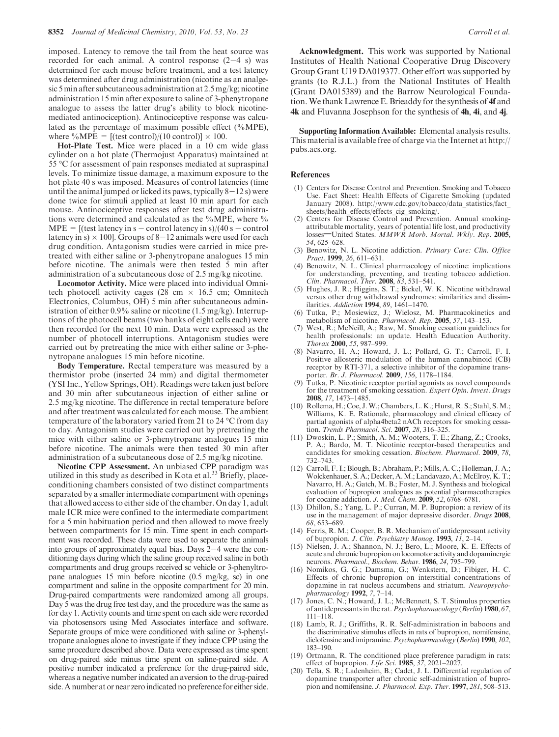imposed. Latency to remove the tail from the heat source was recorded for each animal. A control response  $(2-4 s)$  was determined for each mouse before treatment, and a test latency was determined after drug administration (nicotine as an analgesic 5 min after subcutaneous administration at 2.5 mg/kg; nicotine administration 15 min after exposure to saline of 3-phenytropane analogue to assess the latter drug's ability to block nicotinemediated antinociception). Antinociceptive response was calculated as the percentage of maximum possible effect (%MPE), where %MPE =  $[(test control)/(10 control)] \times 100$ .

Hot-Plate Test. Mice were placed in a 10 cm wide glass cylinder on a hot plate (Thermojust Apparatus) maintained at 55 C for assessment of pain responses mediated at supraspinal levels. To minimize tissue damage, a maximum exposure to the hot plate 40 s was imposed. Measures of control latencies (time until the animal jumped or licked its paws, typically  $8-12$  s) were done twice for stimuli applied at least 10 min apart for each mouse. Antinociceptive responses after test drug administrations were determined and calculated as the %MPE, where %  $MPE = [(test latency in s - control latency in s)/(40 s - control]$ latency in s)  $\times$  100]. Groups of 8–12 animals were used for each drug condition. Antagonism studies were carried in mice pretreated with either saline or 3-phenytropane analogues 15 min before nicotine. The animals were then tested 5 min after administration of a subcutaneous dose of 2.5 mg/kg nicotine.

Locomotor Activity. Mice were placed into individual Omnitech photocell activity cages (28 cm  $\times$  16.5 cm; Omnitech Electronics, Columbus, OH) 5 min after subcutaneous administration of either 0.9% saline or nicotine (1.5 mg/kg). Interruptions of the photocell beams (two banks of eight cells each) were then recorded for the next 10 min. Data were expressed as the number of photocell interruptions. Antagonism studies were carried out by pretreating the mice with either saline or 3-phenytropane analogues 15 min before nicotine.

Body Temperature. Rectal temperature was measured by a thermistor probe (inserted 24 mm) and digital thermometer (YSI Inc., Yellow Springs, OH). Readings were taken just before and 30 min after subcutaneous injection of either saline or 2.5 mg/kg nicotine. The difference in rectal temperature before and after treatment was calculated for each mouse. The ambient temperature of the laboratory varied from 21 to 24  $\rm{°C}$  from day to day. Antagonism studies were carried out by pretreating the mice with either saline or 3-phenytropane analogues 15 min before nicotine. The animals were then tested 30 min after administration of a subcutaneous dose of 2.5 mg/kg nicotine.

Nicotine CPP Assessment. An unbiased CPP paradigm was utilized in this study as described in Kota et al.<sup>33</sup> Briefly, placeconditioning chambers consisted of two distinct compartments separated by a smaller intermediate compartment with openings that allowed access to either side of the chamber. On day 1, adult male ICR mice were confined to the intermediate compartment for a 5 min habituation period and then allowed to move freely between compartments for 15 min. Time spent in each compartment was recorded. These data were used to separate the animals into groups of approximately equal bias. Days  $2-4$  were the conditioning days during which the saline group received saline in both compartments and drug groups received sc vehicle or 3-phenyltropane analogues 15 min before nicotine (0.5 mg/kg, sc) in one compartment and saline in the opposite compartment for 20 min. Drug-paired compartments were randomized among all groups. Day 5 was the drug free test day, and the procedure was the same as for day 1. Activity counts and time spent on each side were recorded via photosensors using Med Associates interface and software. Separate groups of mice were conditioned with saline or 3-phenyltropane analogues alone to investigate if they induce CPP using the same procedure described above. Data were expressed as time spent on drug-paired side minus time spent on saline-paired side. A positive number indicated a preference for the drug-paired side, whereas a negative number indicated an aversion to the drug-paired side.A number at or near zero indicated no preference for either side.

Acknowledgment. This work was supported by National Institutes of Health National Cooperative Drug Discovery Group Grant U19 DA019377. Other effort was supported by grants (to R.J.L.) from the National Institutes of Health (Grant DA015389) and the Barrow Neurological Foundation.We thank Lawrence E. Brieaddy for the synthesis of 4f and 4k and Fluvanna Josephson for the synthesis of 4h, 4i, and 4j.

Supporting Information Available: Elemental analysis results. This material is available free of charge via the Internet at http:// pubs.acs.org.

#### References

- (1) Centers for Disease Control and Prevention. Smoking and Tobacco Use. Fact Sheet: Health Effects of Cigarette Smoking (updated January 2008). http://www.cdc.gov/tobacco/data\_statistics/fact\_ sheets/health\_effects/effects\_cig\_smoking/.
- (2) Centers for Disease Control and Prevention. Annual smokingattributable mortality, years of potential life lost, and productivity losses-United States. MMWR Morb. Mortal. Wkly. Rep. 2005, 54, 625–628.
- (3) Benowitz, N. L. Nicotine addiction. Primary Care: Clin. Office Pract. 1999, 26, 611–631.
- (4) Benowitz, N. L. Clinical pharmacology of nicotine: implications for understanding, preventing, and treating tobacco addiction. Clin. Pharmacol. Ther. 2008, 83, 531–541.
- (5) Hughes, J. R.; Higgins, S. T.; Bickel, W. K. Nicotine withdrawal versus other drug withdrawal syndromes: similarities and dissimilarities. Addiction 1994, 89, 1461–1470.
- (6) Tutka, P.; Mosiewicz, J.; Wielosz, M. Pharmacokinetics and metabolism of nicotine. Pharmacol. Rep. 2005, 57, 143–153.
- West, R.; McNeill, A.; Raw, M. Smoking cessation guidelines for health professionals: an update. Health Education Authority. Thorax 2000, 55, 987–999.
- (8) Navarro, H. A.; Howard, J. L.; Pollard, G. T.; Carroll, F. I. Positive allosteric modulation of the human cannabinoid (CB) receptor by RTI-371, a selective inhibitor of the dopamine transporter. Br. J. Pharmacol. 2009, 156, 1178–1184.
- (9) Tutka, P. Nicotinic receptor partial agonists as novel compounds for the treatment of smoking cessation. Expert Opin. Invest. Drugs 2008, 17, 1473–1485.
- (10) Rollema, H.; Coe, J.W.; Chambers, L. K.; Hurst, R. S.; Stahl, S.M.; Williams, K. E. Rationale, pharmacology and clinical efficacy of partial agonists of alpha4beta2 nACh receptors for smoking cessation. Trends Pharmacol. Sci. 2007, 28, 316–325.
- (11) Dwoskin, L. P.; Smith, A. M.; Wooters, T. E.; Zhang, Z.; Crooks, P. A.; Bardo, M. T. Nicotinic receptor-based therapeutics and candidates for smoking cessation. Biochem. Pharmacol. 2009, 78, 732–743.
- (12) Carroll, F. I.; Blough, B.; Abraham, P.; Mills, A. C.; Holleman, J. A.; Wolckenhauer, S. A.; Decker, A.M.; Landavazo, A.;McElroy, K. T.; Navarro, H. A.; Gatch, M. B.; Foster, M. J. Synthesis and biological evaluation of bupropion analogues as potential pharmacotherapies for cocaine addiction. J. Med. Chem. 2009, 52, 6768–6781.
- (13) Dhillon, S.; Yang, L. P.; Curran, M. P. Bupropion: a review of its use in the management of major depressive disorder. Drugs 2008, 68, 653–689.
- (14) Ferris, R. M.; Cooper, B. R. Mechanism of antidepressant activity of bupropion. J. Clin. Psychiatry Monog. 1993, 11, 2-14.
- (15) Nielsen, J. A.; Shannon, N. J.; Bero, L.; Moore, K. E. Effects of acute and chronic bupropion on locomotor activity and dopaminergic neurons. Pharmacol., Biochem. Behav. 1986, 24, 795–799.
- (16) Nomikos, G. G.; Damsma, G.; Wenkstern, D.; Fibiger, H. C. Effects of chronic bupropion on interstitial concentrations of dopamine in rat nucleus accumbens and striatum. Neuropsychopharmacology 1992, 7, 7–14.
- (17) Jones, C. N.; Howard, J. L.; McBennett, S. T. Stimulus properties of antidepressants in the rat.Psychopharmacology (Berlin) 1980, 67, 111–118.
- (18) Lamb, R. J.; Griffiths, R. R. Self-administration in baboons and the discriminative stimulus effects in rats of bupropion, nomifensine, diclofensine and imipramine. Psychopharmacology (Berlin) 1990, 102, 183–190.
- (19) Ortmann, R. The conditioned place preference paradigm in rats: effect of bupropion. Life Sci.  $1985$ ,  $37$ , 2021–2027.
- (20) Tella, S. R.; Ladenheim, B.; Cadet, J. L. Differential regulation of dopamine transporter after chronic self-administration of bupropion and nomifensine. J. Pharmacol. Exp. Ther. 1997, 281, 508–513.